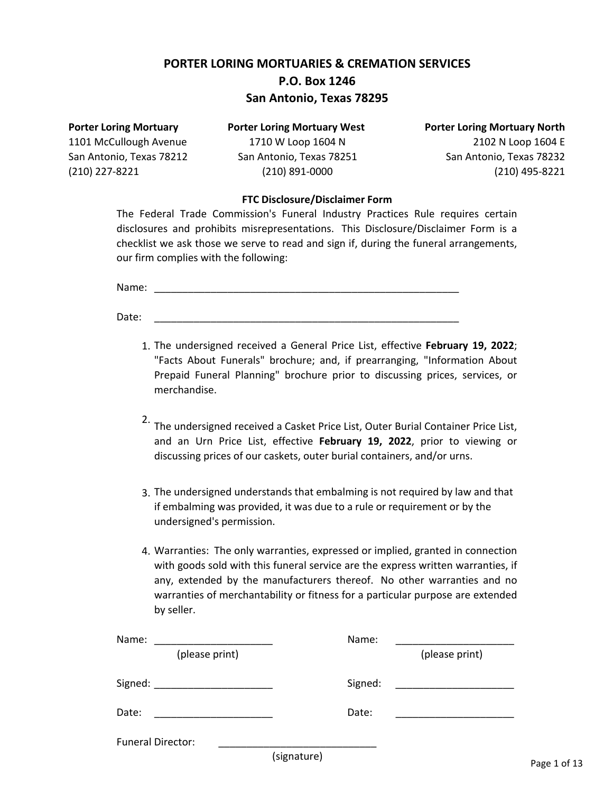# **PORTER LORING MORTUARIES & CREMATION SERVICES P.O. Box 1246 San Antonio, Texas 78295**

1101 McCullough Avenue 1710 W Loop 1604 N 2102 N Loop 1604 E San Antonio, Texas 78212 San Antonio, Texas 78251 San Antonio, Texas 78232 (210) 227‐8221 (210) 891‐0000 (210) 495‐8221

**Porter Loring Mortuary Porter Loring Mortuary West Porter Loring Mortuary North**

# **FTC Disclosure/Disclaimer Form**

The Federal Trade Commission's Funeral Industry Practices Rule requires certain disclosures and prohibits misrepresentations. This Disclosure/Disclaimer Form is a checklist we ask those we serve to read and sign if, during the funeral arrangements, our firm complies with the following:

Name: where  $\overline{a}$ 

Date: \_\_\_\_\_\_\_\_\_\_\_\_\_\_\_\_\_\_\_\_\_\_\_\_\_\_\_\_\_\_\_\_\_\_\_\_\_\_\_\_\_\_\_\_\_\_\_\_\_\_\_\_\_\_

- 1. The undersigned received a General Price List, effective **February 19, 2022**; "Facts About Funerals" brochure; and, if prearranging, "Information About Prepaid Funeral Planning" brochure prior to discussing prices, services, or merchandise.
- 2. The undersigned received a Casket Price List, Outer Burial Container Price List, and an Urn Price List, effective **February 19, 2022**, prior to viewing or discussing prices of our caskets, outer burial containers, and/or urns.
- 3. The undersigned understands that embalming is not required by law and that if embalming was provided, it was due to a rule or requirement or by the undersigned's permission.
- 4. Warranties: The only warranties, expressed or implied, granted in connection with goods sold with this funeral service are the express written warranties, if any, extended by the manufacturers thereof. No other warranties and no warranties of merchantability or fitness for a particular purpose are extended by seller.

| Name:                    |                                                  | Name:   |                |
|--------------------------|--------------------------------------------------|---------|----------------|
|                          | (please print)                                   |         | (please print) |
| Signed:                  | the control of the control of the control of the | Signed: |                |
| Date:                    |                                                  | Date:   |                |
| <b>Funeral Director:</b> |                                                  |         |                |

(signature)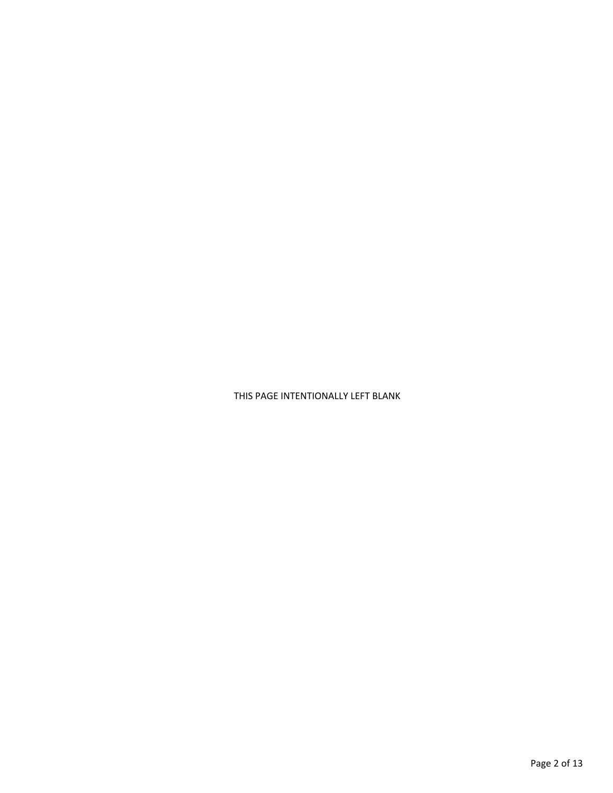THIS PAGE INTENTIONALLY LEFT BLANK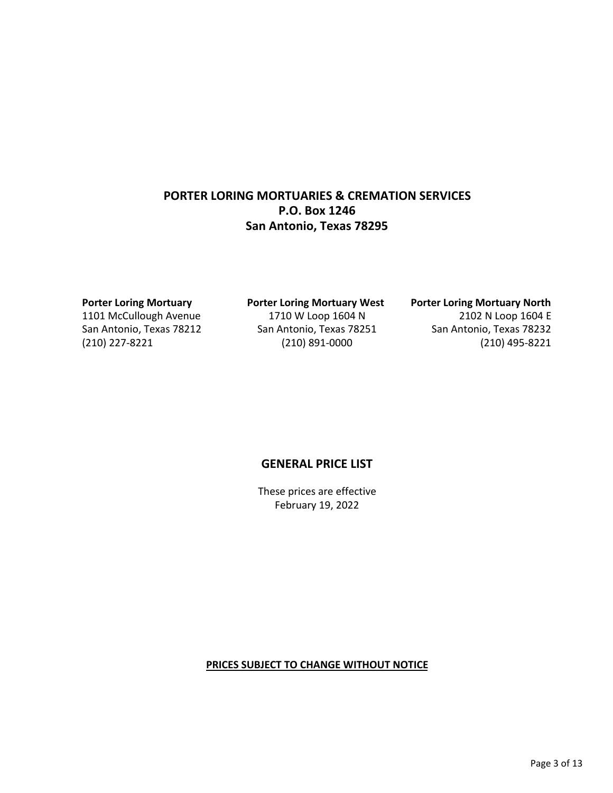# **PORTER LORING MORTUARIES & CREMATION SERVICES P.O. Box 1246 San Antonio, Texas 78295**

Porter Loring Mortuary **Porter Loring Mortuary West** Porter Loring Mortuary North 1101 McCullough Avenue 1710 W Loop 1604 N 2102 N Loop 1604 E San Antonio, Texas 78212 San Antonio, Texas 78251 San Antonio, Texas 78232 (210) 227‐8221 (210) 891‐0000 (210) 495‐8221

# **GENERAL PRICE LIST**

These prices are effective February 19, 2022

# **PRICES SUBJECT TO CHANGE WITHOUT NOTICE**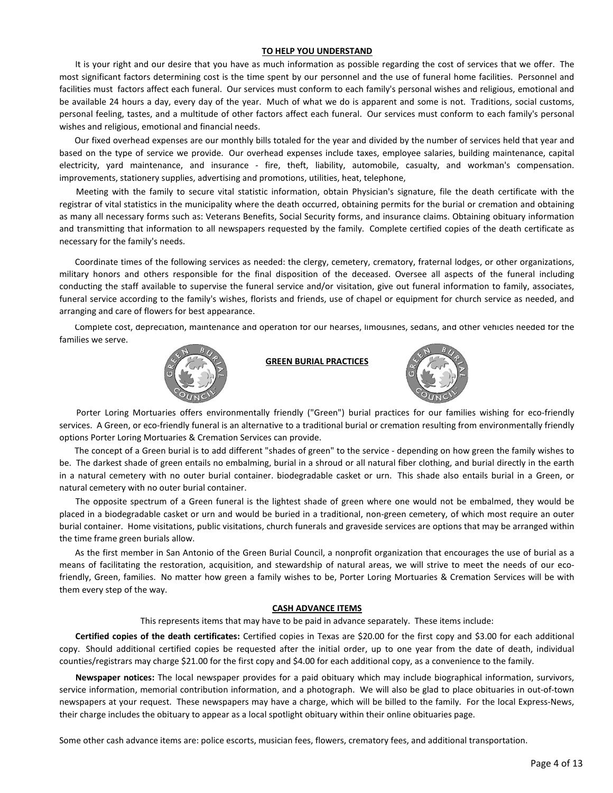#### **TO HELP YOU UNDERSTAND**

It is your right and our desire that you have as much information as possible regarding the cost of services that we offer. The most significant factors determining cost is the time spent by our personnel and the use of funeral home facilities. Personnel and facilities must factors affect each funeral. Our services must conform to each family's personal wishes and religious, emotional and be available 24 hours a day, every day of the year. Much of what we do is apparent and some is not. Traditions, social customs, personal feeling, tastes, and a multitude of other factors affect each funeral. Our services must conform to each family's personal wishes and religious, emotional and financial needs.

Our fixed overhead expenses are our monthly bills totaled for the year and divided by the number of services held that year and based on the type of service we provide. Our overhead expenses include taxes, employee salaries, building maintenance, capital electricity, yard maintenance, and insurance - fire, theft, liability, automobile, casualty, and workman's compensation. improvements, stationery supplies, advertising and promotions, utilities, heat, telephone,

Meeting with the family to secure vital statistic information, obtain Physician's signature, file the death certificate with the registrar of vital statistics in the municipality where the death occurred, obtaining permits for the burial or cremation and obtaining as many all necessary forms such as: Veterans Benefits, Social Security forms, and insurance claims. Obtaining obituary information and transmitting that information to all newspapers requested by the family. Complete certified copies of the death certificate as necessary for the family's needs.

Coordinate times of the following services as needed: the clergy, cemetery, crematory, fraternal lodges, or other organizations, military honors and others responsible for the final disposition of the deceased. Oversee all aspects of the funeral including conducting the staff available to supervise the funeral service and/or visitation, give out funeral information to family, associates, funeral service according to the family's wishes, florists and friends, use of chapel or equipment for church service as needed, and arranging and care of flowers for best appearance.

Complete cost, depreciation, maintenance and operation for our hearses, limousines, sedans, and other vehicles needed for the families we serve.



**GREEN BURIAL PRACTICES**



Porter Loring Mortuaries offers environmentally friendly ("Green") burial practices for our families wishing for eco-friendly services. A Green, or eco-friendly funeral is an alternative to a traditional burial or cremation resulting from environmentally friendly options Porter Loring Mortuaries & Cremation Services can provide.

The concept of a Green burial is to add different "shades of green" to the service ‐ depending on how green the family wishes to be. The darkest shade of green entails no embalming, burial in a shroud or all natural fiber clothing, and burial directly in the earth in a natural cemetery with no outer burial container. biodegradable casket or urn. This shade also entails burial in a Green, or natural cemetery with no outer burial container.

The opposite spectrum of a Green funeral is the lightest shade of green where one would not be embalmed, they would be placed in a biodegradable casket or urn and would be buried in a traditional, non‐green cemetery, of which most require an outer burial container. Home visitations, public visitations, church funerals and graveside services are options that may be arranged within the time frame green burials allow.

As the first member in San Antonio of the Green Burial Council, a nonprofit organization that encourages the use of burial as a means of facilitating the restoration, acquisition, and stewardship of natural areas, we will strive to meet the needs of our ecofriendly, Green, families. No matter how green a family wishes to be, Porter Loring Mortuaries & Cremation Services will be with them every step of the way.

#### **CASH ADVANCE ITEMS**

This represents items that may have to be paid in advance separately. These items include:

**Certified copies of the death certificates:** Certified copies in Texas are \$20.00 for the first copy and \$3.00 for each additional copy. Should additional certified copies be requested after the initial order, up to one year from the date of death, individual counties/registrars may charge \$21.00 for the first copy and \$4.00 for each additional copy, as a convenience to the family.

**Newspaper notices:** The local newspaper provides for a paid obituary which may include biographical information, survivors, service information, memorial contribution information, and a photograph. We will also be glad to place obituaries in out‐of‐town newspapers at your request. These newspapers may have a charge, which will be billed to the family. For the local Express‐News, their charge includes the obituary to appear as a local spotlight obituary within their online obituaries page.

Some other cash advance items are: police escorts, musician fees, flowers, crematory fees, and additional transportation.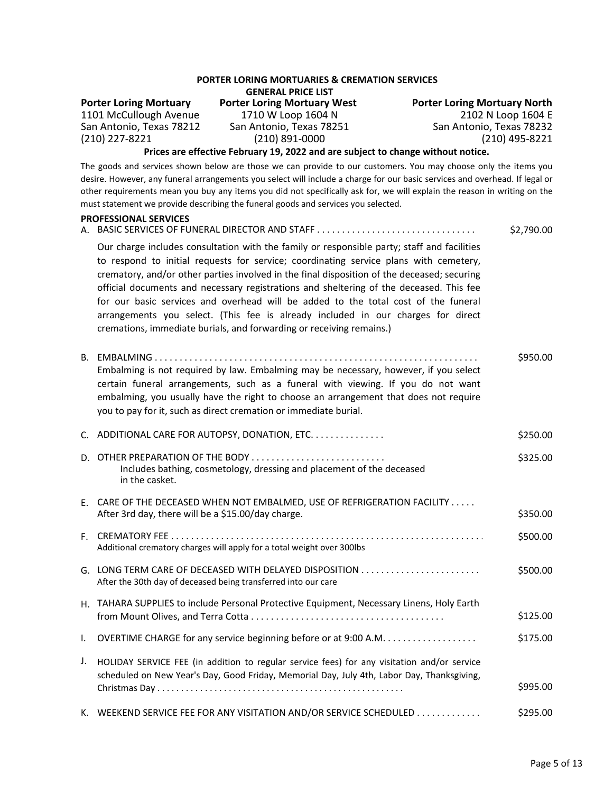## **PORTER LORING MORTUARIES & CREMATION SERVICES**

**GENERAL PRICE LIST**

(210) 227-8221 (210) 891-0000

**Porter Loring Mortuary Porter Loring Mortuary West Porter Loring Mortuary North** 1101 McCullough Avenue 1710 W Loop 1604 N 2102 N Loop 1604 E San Antonio, Texas 78212 San Antonio, Texas 78251 San Antonio, Texas 78232

### **Prices are effective February 19, 2022 and are subject to change without notice.**

The goods and services shown below are those we can provide to our customers. You may choose only the items you desire. However, any funeral arrangements you select will include a charge for our basic services and overhead. If legal or other requirements mean you buy any items you did not specifically ask for, we will explain the reason in writing on the must statement we provide describing the funeral goods and services you selected.

### **PROFESSIONAL SERVICES**

A. \$2,790.00 BASIC SERVICES OF FUNERAL DIRECTOR AND STAFF . . . . . . . . . . . . . . . . . . . . . . . . . . . . . . . . Our charge includes consultation with the family or responsible party; staff and facilities to respond to initial requests for service; coordinating service plans with cemetery, crematory, and/or other parties involved in the final disposition of the deceased; securing official documents and necessary registrations and sheltering of the deceased. This fee for our basic services and overhead will be added to the total cost of the funeral arrangements you select. (This fee is already included in our charges for direct

cremations, immediate burials, and forwarding or receiving remains.)

| $B_{\cdot}$  | Embalming is not required by law. Embalming may be necessary, however, if you select<br>certain funeral arrangements, such as a funeral with viewing. If you do not want<br>embalming, you usually have the right to choose an arrangement that does not require<br>you to pay for it, such as direct cremation or immediate burial. | \$950.00 |
|--------------|--------------------------------------------------------------------------------------------------------------------------------------------------------------------------------------------------------------------------------------------------------------------------------------------------------------------------------------|----------|
|              | C. ADDITIONAL CARE FOR AUTOPSY, DONATION, ETC.                                                                                                                                                                                                                                                                                       | \$250.00 |
|              | D. OTHER PREPARATION OF THE BODY<br>Includes bathing, cosmetology, dressing and placement of the deceased<br>in the casket.                                                                                                                                                                                                          | \$325.00 |
|              | E. CARE OF THE DECEASED WHEN NOT EMBALMED, USE OF REFRIGERATION FACILITY<br>After 3rd day, there will be a \$15.00/day charge.                                                                                                                                                                                                       | \$350.00 |
|              | Additional crematory charges will apply for a total weight over 300lbs                                                                                                                                                                                                                                                               | \$500.00 |
|              | G. LONG TERM CARE OF DECEASED WITH DELAYED DISPOSITION<br>After the 30th day of deceased being transferred into our care                                                                                                                                                                                                             | \$500.00 |
| Н.           | TAHARA SUPPLIES to include Personal Protective Equipment, Necessary Linens, Holy Earth                                                                                                                                                                                                                                               | \$125.00 |
| $\mathsf{L}$ |                                                                                                                                                                                                                                                                                                                                      | \$175.00 |
| J.           | HOLIDAY SERVICE FEE (in addition to regular service fees) for any visitation and/or service<br>scheduled on New Year's Day, Good Friday, Memorial Day, July 4th, Labor Day, Thanksgiving,                                                                                                                                            | \$995.00 |
|              | K. WEEKEND SERVICE FEE FOR ANY VISITATION AND/OR SERVICE SCHEDULED                                                                                                                                                                                                                                                                   | \$295.00 |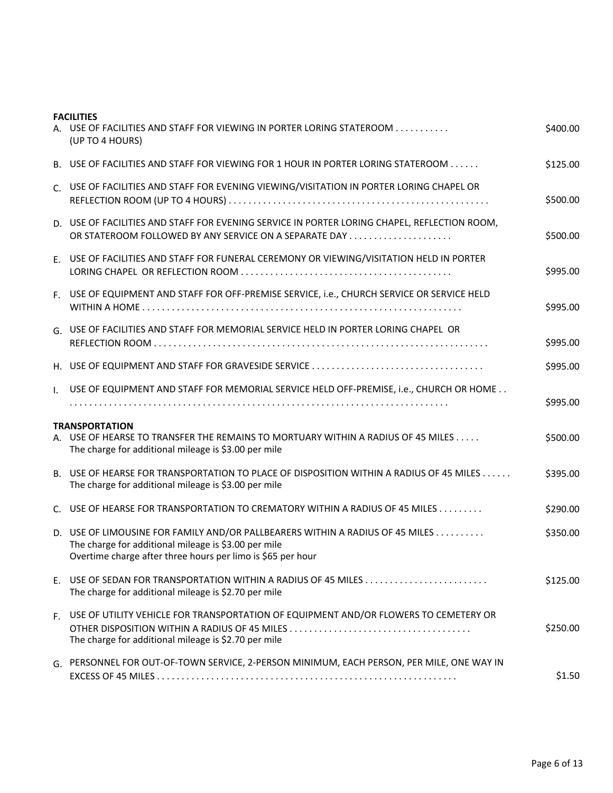# **FACILITIES**

|              | A. USE OF FACILITIES AND STAFF FOR VIEWING IN PORTER LORING STATEROOM<br>(UP TO 4 HOURS)                                                                                                             | \$400.00 |
|--------------|------------------------------------------------------------------------------------------------------------------------------------------------------------------------------------------------------|----------|
|              | B. USE OF FACILITIES AND STAFF FOR VIEWING FOR 1 HOUR IN PORTER LORING STATEROOM                                                                                                                     | \$125.00 |
|              | C. USE OF FACILITIES AND STAFF FOR EVENING VIEWING/VISITATION IN PORTER LORING CHAPEL OR                                                                                                             | \$500.00 |
|              | D. USE OF FACILITIES AND STAFF FOR EVENING SERVICE IN PORTER LORING CHAPEL, REFLECTION ROOM,<br>OR STATEROOM FOLLOWED BY ANY SERVICE ON A SEPARATE DAY                                               | \$500.00 |
|              | E. USE OF FACILITIES AND STAFF FOR FUNERAL CEREMONY OR VIEWING/VISITATION HELD IN PORTER                                                                                                             | \$995.00 |
|              | F. USE OF EQUIPMENT AND STAFF FOR OFF-PREMISE SERVICE, i.e., CHURCH SERVICE OR SERVICE HELD                                                                                                          | \$995.00 |
|              | G. USE OF FACILITIES AND STAFF FOR MEMORIAL SERVICE HELD IN PORTER LORING CHAPEL OR                                                                                                                  | \$995.00 |
|              | H. USE OF EQUIPMENT AND STAFF FOR GRAVESIDE SERVICE                                                                                                                                                  | \$995.00 |
| $\mathbf{L}$ | USE OF EQUIPMENT AND STAFF FOR MEMORIAL SERVICE HELD OFF-PREMISE, i.e., CHURCH OR HOME                                                                                                               | \$995.00 |
|              | <b>TRANSPORTATION</b>                                                                                                                                                                                |          |
|              | A. USE OF HEARSE TO TRANSFER THE REMAINS TO MORTUARY WITHIN A RADIUS OF 45 MILES<br>The charge for additional mileage is \$3.00 per mile                                                             | \$500.00 |
|              | B. USE OF HEARSE FOR TRANSPORTATION TO PLACE OF DISPOSITION WITHIN A RADIUS OF 45 MILES<br>The charge for additional mileage is \$3.00 per mile                                                      | \$395.00 |
|              | C. USE OF HEARSE FOR TRANSPORTATION TO CREMATORY WITHIN A RADIUS OF 45 MILES                                                                                                                         | \$290.00 |
|              | D. USE OF LIMOUSINE FOR FAMILY AND/OR PALLBEARERS WITHIN A RADIUS OF 45 MILES<br>The charge for additional mileage is \$3.00 per mile<br>Overtime charge after three hours per limo is \$65 per hour | \$350.00 |
|              | The charge for additional mileage is \$2.70 per mile                                                                                                                                                 | \$125.00 |
|              | F. USE OF UTILITY VEHICLE FOR TRANSPORTATION OF EQUIPMENT AND/OR FLOWERS TO CEMETERY OR<br>The charge for additional mileage is \$2.70 per mile                                                      | \$250.00 |
|              | G. PERSONNEL FOR OUT-OF-TOWN SERVICE, 2-PERSON MINIMUM, EACH PERSON, PER MILE, ONE WAY IN                                                                                                            | \$1.50   |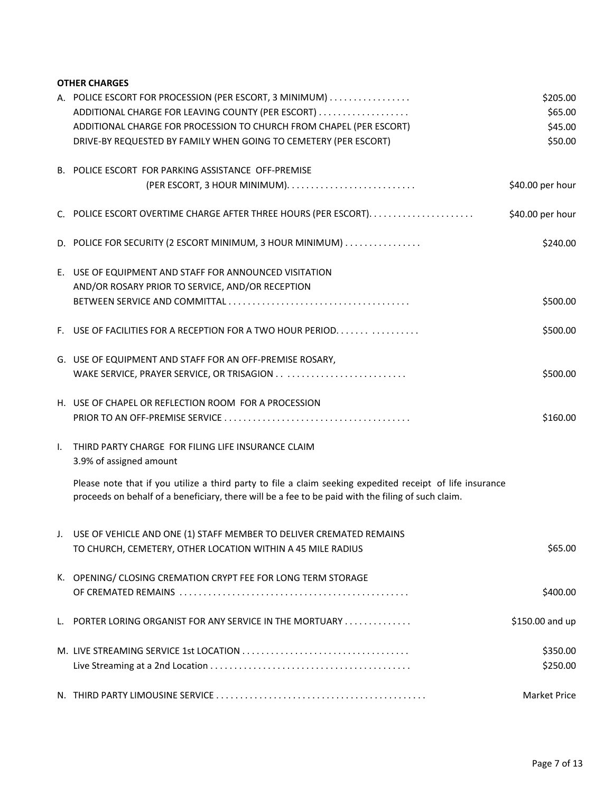**OTHER CHARGES**

|              | A. POLICE ESCORT FOR PROCESSION (PER ESCORT, 3 MINIMUM)<br>ADDITIONAL CHARGE FOR PROCESSION TO CHURCH FROM CHAPEL (PER ESCORT)                                                                                  | \$205.00<br>\$65.00<br>\$45.00 |
|--------------|-----------------------------------------------------------------------------------------------------------------------------------------------------------------------------------------------------------------|--------------------------------|
|              | DRIVE-BY REQUESTED BY FAMILY WHEN GOING TO CEMETERY (PER ESCORT)                                                                                                                                                | \$50.00                        |
|              | B. POLICE ESCORT FOR PARKING ASSISTANCE OFF-PREMISE                                                                                                                                                             | \$40.00 per hour               |
|              |                                                                                                                                                                                                                 | \$40.00 per hour               |
|              | D. POLICE FOR SECURITY (2 ESCORT MINIMUM, 3 HOUR MINIMUM)                                                                                                                                                       | \$240.00                       |
|              | E. USE OF EQUIPMENT AND STAFF FOR ANNOUNCED VISITATION<br>AND/OR ROSARY PRIOR TO SERVICE, AND/OR RECEPTION                                                                                                      |                                |
|              |                                                                                                                                                                                                                 | \$500.00                       |
|              | F. USE OF FACILITIES FOR A RECEPTION FOR A TWO HOUR PERIOD.                                                                                                                                                     | \$500.00                       |
|              | G. USE OF EQUIPMENT AND STAFF FOR AN OFF-PREMISE ROSARY,                                                                                                                                                        |                                |
|              |                                                                                                                                                                                                                 | \$500.00                       |
|              | H. USE OF CHAPEL OR REFLECTION ROOM FOR A PROCESSION                                                                                                                                                            | \$160.00                       |
| $\mathbf{L}$ | THIRD PARTY CHARGE FOR FILING LIFE INSURANCE CLAIM<br>3.9% of assigned amount                                                                                                                                   |                                |
|              | Please note that if you utilize a third party to file a claim seeking expedited receipt of life insurance<br>proceeds on behalf of a beneficiary, there will be a fee to be paid with the filing of such claim. |                                |
|              | J. USE OF VEHICLE AND ONE (1) STAFF MEMBER TO DELIVER CREMATED REMAINS                                                                                                                                          |                                |
|              | TO CHURCH, CEMETERY, OTHER LOCATION WITHIN A 45 MILE RADIUS                                                                                                                                                     | \$65.00                        |
|              | K. OPENING/ CLOSING CREMATION CRYPT FEE FOR LONG TERM STORAGE                                                                                                                                                   | \$400.00                       |
| L.           | PORTER LORING ORGANIST FOR ANY SERVICE IN THE MORTUARY                                                                                                                                                          | \$150.00 and up                |
|              |                                                                                                                                                                                                                 | \$350.00                       |
|              |                                                                                                                                                                                                                 | \$250.00                       |
|              |                                                                                                                                                                                                                 | <b>Market Price</b>            |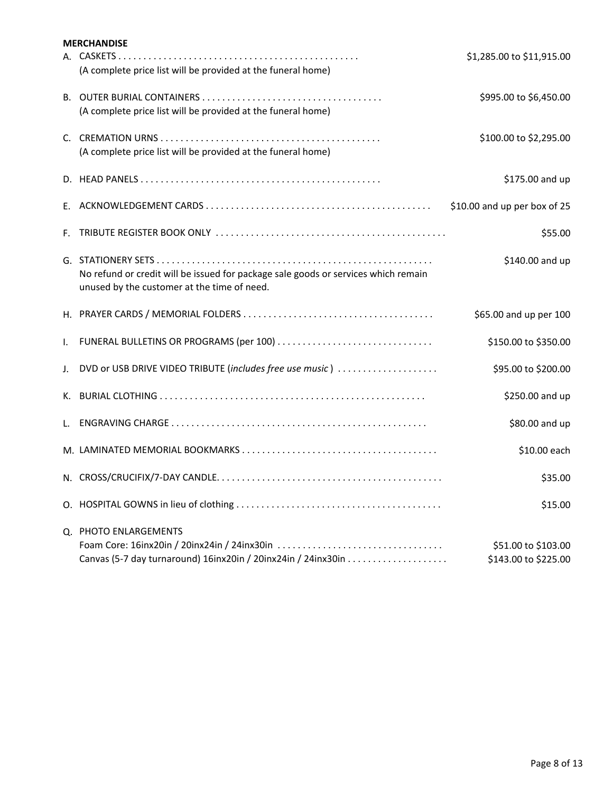|              | <b>MERCHANDISE</b>                                                                                                                |                                             |
|--------------|-----------------------------------------------------------------------------------------------------------------------------------|---------------------------------------------|
|              | (A complete price list will be provided at the funeral home)                                                                      | \$1,285.00 to \$11,915.00                   |
|              | (A complete price list will be provided at the funeral home)                                                                      | \$995.00 to \$6,450.00                      |
|              | (A complete price list will be provided at the funeral home)                                                                      | \$100.00 to \$2,295.00                      |
|              |                                                                                                                                   | \$175.00 and up                             |
|              |                                                                                                                                   | \$10.00 and up per box of 25                |
|              |                                                                                                                                   | \$55.00                                     |
|              | No refund or credit will be issued for package sale goods or services which remain<br>unused by the customer at the time of need. | \$140.00 and up                             |
|              |                                                                                                                                   | \$65.00 and up per 100                      |
| $\mathsf{L}$ |                                                                                                                                   | \$150.00 to \$350.00                        |
| J.           | DVD or USB DRIVE VIDEO TRIBUTE (includes free use music)                                                                          | \$95.00 to \$200.00                         |
|              |                                                                                                                                   | \$250.00 and up                             |
| L.           |                                                                                                                                   | \$80.00 and up                              |
|              |                                                                                                                                   | \$10.00 each                                |
|              |                                                                                                                                   | \$35.00                                     |
|              |                                                                                                                                   | \$15.00                                     |
|              | Q. PHOTO ENLARGEMENTS                                                                                                             | \$51.00 to \$103.00<br>\$143.00 to \$225.00 |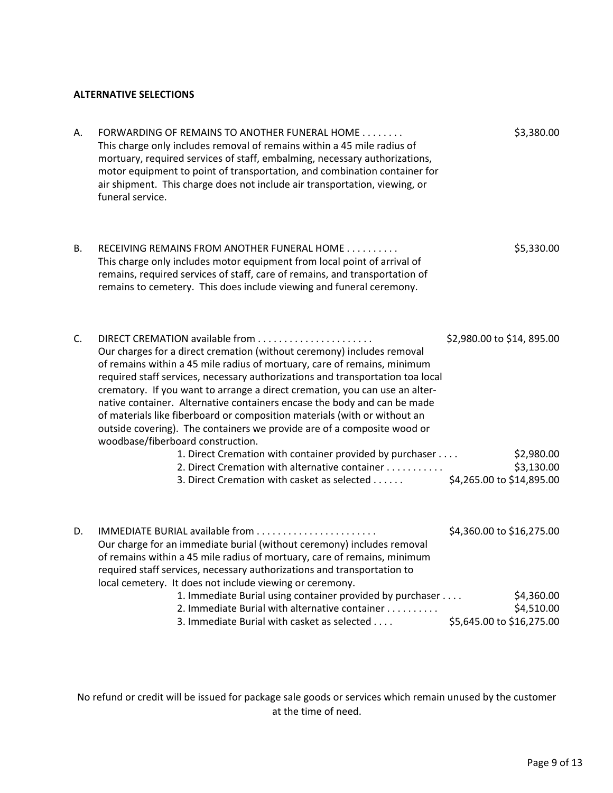# **ALTERNATIVE SELECTIONS**

| А.        | FORWARDING OF REMAINS TO ANOTHER FUNERAL HOME<br>This charge only includes removal of remains within a 45 mile radius of<br>mortuary, required services of staff, embalming, necessary authorizations,<br>motor equipment to point of transportation, and combination container for<br>air shipment. This charge does not include air transportation, viewing, or<br>funeral service.                                                                                                                                                                                                        | \$3,380.00                              |
|-----------|----------------------------------------------------------------------------------------------------------------------------------------------------------------------------------------------------------------------------------------------------------------------------------------------------------------------------------------------------------------------------------------------------------------------------------------------------------------------------------------------------------------------------------------------------------------------------------------------|-----------------------------------------|
| <b>B.</b> | RECEIVING REMAINS FROM ANOTHER FUNERAL HOME<br>This charge only includes motor equipment from local point of arrival of<br>remains, required services of staff, care of remains, and transportation of<br>remains to cemetery. This does include viewing and funeral ceremony.                                                                                                                                                                                                                                                                                                               | \$5,330.00                              |
| C.        | Our charges for a direct cremation (without ceremony) includes removal<br>of remains within a 45 mile radius of mortuary, care of remains, minimum<br>required staff services, necessary authorizations and transportation toa local<br>crematory. If you want to arrange a direct cremation, you can use an alter-<br>native container. Alternative containers encase the body and can be made<br>of materials like fiberboard or composition materials (with or without an<br>outside covering). The containers we provide are of a composite wood or<br>woodbase/fiberboard construction. | \$2,980.00 to \$14, 895.00              |
|           | 1. Direct Cremation with container provided by purchaser                                                                                                                                                                                                                                                                                                                                                                                                                                                                                                                                     | \$2,980.00                              |
|           | 2. Direct Cremation with alternative container<br>3. Direct Cremation with casket as selected                                                                                                                                                                                                                                                                                                                                                                                                                                                                                                | \$3,130.00<br>\$4,265.00 to \$14,895.00 |
| D.        | IMMEDIATE BURIAL available from<br>Our charge for an immediate burial (without ceremony) includes removal<br>of remains within a 45 mile radius of mortuary, care of remains, minimum<br>required staff services, necessary authorizations and transportation to<br>local cemetery. It does not include viewing or ceremony.                                                                                                                                                                                                                                                                 | \$4,360.00 to \$16,275.00               |
|           | 1. Immediate Burial using container provided by purchaser                                                                                                                                                                                                                                                                                                                                                                                                                                                                                                                                    | \$4,360.00                              |
|           | 2. Immediate Burial with alternative container                                                                                                                                                                                                                                                                                                                                                                                                                                                                                                                                               | \$4.510.00                              |

\$5,645.00 to \$16,275.00 3. Immediate Burial with casket as selected . . . .

No refund or credit will be issued for package sale goods or services which remain unused by the customer at the time of need.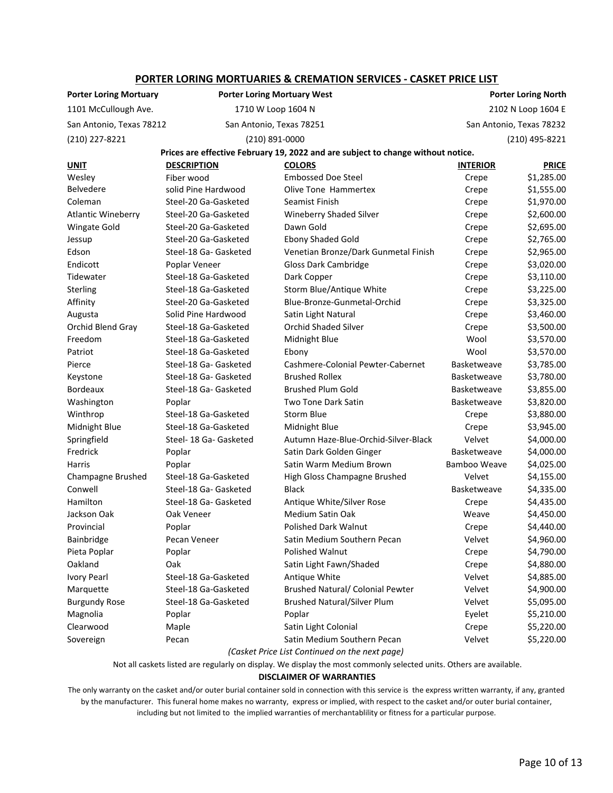# **PORTER LORING MORTUARIES & CREMATION SERVICES ‐ CASKET PRICE LIST**

| <b>Porter Loring Mortuary</b> |                        | <b>Porter Loring Mortuary West</b>                                               |                          | <b>Porter Loring North</b> |
|-------------------------------|------------------------|----------------------------------------------------------------------------------|--------------------------|----------------------------|
| 1101 McCullough Ave.          | 1710 W Loop 1604 N     |                                                                                  | 2102 N Loop 1604 E       |                            |
| San Antonio, Texas 78212      |                        | San Antonio, Texas 78251                                                         | San Antonio, Texas 78232 |                            |
| (210) 227-8221                |                        | (210) 891-0000                                                                   |                          | (210) 495-8221             |
|                               |                        | Prices are effective February 19, 2022 and are subject to change without notice. |                          |                            |
| <b>UNIT</b>                   | <b>DESCRIPTION</b>     | <b>COLORS</b>                                                                    | <b>INTERIOR</b>          | <b>PRICE</b>               |
| Wesley                        | Fiber wood             | <b>Embossed Doe Steel</b>                                                        | Crepe                    | \$1,285.00                 |
| Belvedere                     | solid Pine Hardwood    | Olive Tone Hammertex                                                             | Crepe                    | \$1,555.00                 |
| Coleman                       | Steel-20 Ga-Gasketed   | Seamist Finish                                                                   | Crepe                    | \$1,970.00                 |
| <b>Atlantic Wineberry</b>     | Steel-20 Ga-Gasketed   | <b>Wineberry Shaded Silver</b>                                                   | Crepe                    | \$2,600.00                 |
| Wingate Gold                  | Steel-20 Ga-Gasketed   | Dawn Gold                                                                        | Crepe                    | \$2,695.00                 |
| Jessup                        | Steel-20 Ga-Gasketed   | <b>Ebony Shaded Gold</b>                                                         | Crepe                    | \$2,765.00                 |
| Edson                         | Steel-18 Ga- Gasketed  | Venetian Bronze/Dark Gunmetal Finish                                             | Crepe                    | \$2,965.00                 |
| Endicott                      | Poplar Veneer          | Gloss Dark Cambridge                                                             | Crepe                    | \$3,020.00                 |
| Tidewater                     | Steel-18 Ga-Gasketed   | Dark Copper                                                                      | Crepe                    | \$3,110.00                 |
| Sterling                      | Steel-18 Ga-Gasketed   | Storm Blue/Antique White                                                         | Crepe                    | \$3,225.00                 |
| Affinity                      | Steel-20 Ga-Gasketed   | Blue-Bronze-Gunmetal-Orchid                                                      | Crepe                    | \$3,325.00                 |
| Augusta                       | Solid Pine Hardwood    | Satin Light Natural                                                              | Crepe                    | \$3,460.00                 |
| Orchid Blend Gray             | Steel-18 Ga-Gasketed   | <b>Orchid Shaded Silver</b>                                                      | Crepe                    | \$3,500.00                 |
| Freedom                       | Steel-18 Ga-Gasketed   | Midnight Blue                                                                    | Wool                     | \$3,570.00                 |
| Patriot                       | Steel-18 Ga-Gasketed   | Ebony                                                                            | Wool                     | \$3,570.00                 |
| Pierce                        | Steel-18 Ga- Gasketed  | Cashmere-Colonial Pewter-Cabernet                                                | <b>Basketweave</b>       | \$3,785.00                 |
| Keystone                      | Steel-18 Ga- Gasketed  | <b>Brushed Rollex</b>                                                            | <b>Basketweave</b>       | \$3,780.00                 |
| <b>Bordeaux</b>               | Steel-18 Ga- Gasketed  | <b>Brushed Plum Gold</b>                                                         | <b>Basketweave</b>       | \$3,855.00                 |
| Washington                    | Poplar                 | <b>Two Tone Dark Satin</b>                                                       | <b>Basketweave</b>       | \$3,820.00                 |
| Winthrop                      | Steel-18 Ga-Gasketed   | <b>Storm Blue</b>                                                                | Crepe                    | \$3,880.00                 |
| Midnight Blue                 | Steel-18 Ga-Gasketed   | Midnight Blue                                                                    | Crepe                    | \$3,945.00                 |
| Springfield                   | Steel- 18 Ga- Gasketed | Autumn Haze-Blue-Orchid-Silver-Black                                             | Velvet                   | \$4,000.00                 |
| Fredrick                      | Poplar                 | Satin Dark Golden Ginger                                                         | Basketweave              | \$4,000.00                 |
| <b>Harris</b>                 | Poplar                 | Satin Warm Medium Brown                                                          | Bamboo Weave             | \$4,025.00                 |
| Champagne Brushed             | Steel-18 Ga-Gasketed   | High Gloss Champagne Brushed                                                     | Velvet                   | \$4,155.00                 |
| Conwell                       | Steel-18 Ga- Gasketed  | <b>Black</b>                                                                     | Basketweave              | \$4,335.00                 |
| Hamilton                      | Steel-18 Ga- Gasketed  | Antique White/Silver Rose                                                        | Crepe                    | \$4,435.00                 |
| Jackson Oak                   | Oak Veneer             | Medium Satin Oak                                                                 | Weave                    | \$4,450.00                 |
| Provincial                    | Poplar                 | <b>Polished Dark Walnut</b>                                                      | Crepe                    | \$4,440.00                 |
| Bainbridge                    | Pecan Veneer           | Satin Medium Southern Pecan                                                      | Velvet                   | \$4,960.00                 |
| Pieta Poplar                  | Poplar                 | Polished Walnut                                                                  | Crepe                    | \$4,790.00                 |
| Oakland                       | Oak                    | Satin Light Fawn/Shaded                                                          | Crepe                    | \$4,880.00                 |
| <b>Ivory Pearl</b>            | Steel-18 Ga-Gasketed   | Antique White                                                                    | Velvet                   | \$4,885.00                 |
| Marquette                     | Steel-18 Ga-Gasketed   | <b>Brushed Natural/ Colonial Pewter</b>                                          | Velvet                   | \$4,900.00                 |
| <b>Burgundy Rose</b>          | Steel-18 Ga-Gasketed   | <b>Brushed Natural/Silver Plum</b>                                               | Velvet                   | \$5,095.00                 |
| Magnolia                      | Poplar                 | Poplar                                                                           | Eyelet                   | \$5,210.00                 |
| Clearwood                     | Maple                  | Satin Light Colonial                                                             | Crepe                    | \$5,220.00                 |
| Sovereign                     | Pecan                  | Satin Medium Southern Pecan                                                      | Velvet                   | \$5,220.00                 |
|                               |                        |                                                                                  |                          |                            |

*(Casket Price List Continued on the next page)*

Not all caskets listed are regularly on display. We display the most commonly selected units. Others are available.

#### **DISCLAIMER OF WARRANTIES**

The only warranty on the casket and/or outer burial container sold in connection with this service is the express written warranty, if any, granted by the manufacturer. This funeral home makes no warranty, express or implied, with respect to the casket and/or outer burial container, including but not limited to the implied warranties of merchantablility or fitness for a particular purpose.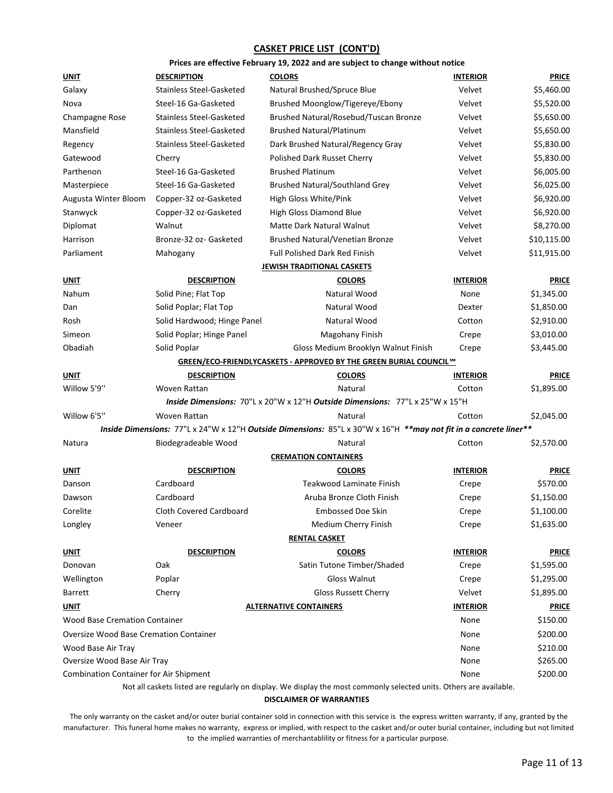# **CASKET PRICE LIST (CONT'D)**

#### **Prices are effective February 19, 2022 and are subject to change without notice**

| <b>UNIT</b>                                                                                                      | <b>DESCRIPTION</b>              | <b>COLORS</b>                                                                                                       | <b>INTERIOR</b> | <b>PRICE</b> |
|------------------------------------------------------------------------------------------------------------------|---------------------------------|---------------------------------------------------------------------------------------------------------------------|-----------------|--------------|
| Galaxy                                                                                                           | <b>Stainless Steel-Gasketed</b> | Natural Brushed/Spruce Blue                                                                                         | Velvet          | \$5,460.00   |
| Nova                                                                                                             | Steel-16 Ga-Gasketed            | Brushed Moonglow/Tigereye/Ebony                                                                                     | Velvet          | \$5,520.00   |
| Champagne Rose                                                                                                   | <b>Stainless Steel-Gasketed</b> | Brushed Natural/Rosebud/Tuscan Bronze                                                                               | Velvet          | \$5,650.00   |
| Mansfield                                                                                                        | <b>Stainless Steel-Gasketed</b> | <b>Brushed Natural/Platinum</b>                                                                                     | Velvet          | \$5,650.00   |
| Regency                                                                                                          | <b>Stainless Steel-Gasketed</b> | Dark Brushed Natural/Regency Gray                                                                                   | Velvet          | \$5,830.00   |
| Gatewood                                                                                                         | Cherry                          | Polished Dark Russet Cherry                                                                                         | Velvet          | \$5,830.00   |
| Parthenon                                                                                                        | Steel-16 Ga-Gasketed            | <b>Brushed Platinum</b>                                                                                             | Velvet          | \$6,005.00   |
| Masterpiece                                                                                                      | Steel-16 Ga-Gasketed            | <b>Brushed Natural/Southland Grey</b>                                                                               | Velvet          | \$6,025.00   |
| Augusta Winter Bloom                                                                                             | Copper-32 oz-Gasketed           | High Gloss White/Pink                                                                                               | Velvet          | \$6,920.00   |
| Stanwyck                                                                                                         | Copper-32 oz-Gasketed           | High Gloss Diamond Blue                                                                                             | Velvet          | \$6,920.00   |
| Diplomat                                                                                                         | Walnut                          | Matte Dark Natural Walnut                                                                                           | Velvet          | \$8,270.00   |
| Harrison                                                                                                         | Bronze-32 oz- Gasketed          | <b>Brushed Natural/Venetian Bronze</b>                                                                              | Velvet          | \$10,115.00  |
| Parliament                                                                                                       | Mahogany                        | <b>Full Polished Dark Red Finish</b>                                                                                | Velvet          | \$11,915.00  |
|                                                                                                                  |                                 | <b>JEWISH TRADITIONAL CASKETS</b>                                                                                   |                 |              |
| <b>UNIT</b>                                                                                                      | <b>DESCRIPTION</b>              | <b>COLORS</b>                                                                                                       | <b>INTERIOR</b> | <b>PRICE</b> |
| Nahum                                                                                                            | Solid Pine; Flat Top            | Natural Wood                                                                                                        | None            | \$1,345.00   |
| Dan                                                                                                              | Solid Poplar; Flat Top          | Natural Wood                                                                                                        | Dexter          | \$1,850.00   |
| Rosh                                                                                                             | Solid Hardwood; Hinge Panel     | Natural Wood                                                                                                        | Cotton          | \$2,910.00   |
| Simeon                                                                                                           | Solid Poplar; Hinge Panel       | Magohany Finish                                                                                                     | Crepe           | \$3,010.00   |
| Obadiah                                                                                                          | Solid Poplar                    | Gloss Medium Brooklyn Walnut Finish                                                                                 | Crepe           | \$3,445.00   |
|                                                                                                                  |                                 | GREEN/ECO-FRIENDLYCASKETS - APPROVED BY THE GREEN BURIAL COUNCIL SM                                                 |                 |              |
| <b>UNIT</b>                                                                                                      | <b>DESCRIPTION</b>              | <b>COLORS</b>                                                                                                       | <b>INTERIOR</b> | <b>PRICE</b> |
| Willow 5'9"                                                                                                      | Woven Rattan                    | Natural                                                                                                             | Cotton          | \$1,895.00   |
|                                                                                                                  |                                 | Inside Dimensions: 70"L x 20"W x 12"H Outside Dimensions: 77"L x 25"W x 15"H                                        |                 |              |
| Willow 6'5"                                                                                                      | Woven Rattan                    | Natural                                                                                                             | Cotton          | \$2,045.00   |
| Inside Dimensions: 77"L x 24"W x 12"H Outside Dimensions: 85"L x 30"W x 16"H **may not fit in a concrete liner** |                                 |                                                                                                                     |                 |              |
| Natura                                                                                                           | Biodegradeable Wood             | Natural                                                                                                             | Cotton          | \$2,570.00   |
|                                                                                                                  |                                 | <b>CREMATION CONTAINERS</b>                                                                                         |                 |              |
| UNIT                                                                                                             | <b>DESCRIPTION</b>              | <b>COLORS</b>                                                                                                       | <b>INTERIOR</b> | <b>PRICE</b> |
| Danson                                                                                                           | Cardboard                       | Teakwood Laminate Finish                                                                                            | Crepe           | \$570.00     |
| Dawson                                                                                                           | Cardboard                       | Aruba Bronze Cloth Finish                                                                                           | Crepe           | \$1,150.00   |
| Corelite                                                                                                         | Cloth Covered Cardboard         | <b>Embossed Doe Skin</b>                                                                                            | Crepe           | \$1,100.00   |
| Longley                                                                                                          | Veneer                          | Medium Cherry Finish                                                                                                | Crepe           | \$1,635.00   |
|                                                                                                                  |                                 | <b>RENTAL CASKET</b>                                                                                                |                 |              |
| <u>UNIT</u>                                                                                                      | <b>DESCRIPTION</b>              | <b>COLORS</b>                                                                                                       | <b>INTERIOR</b> | <b>PRICE</b> |
| Donovan                                                                                                          | Oak                             | Satin Tutone Timber/Shaded                                                                                          | Crepe           | \$1,595.00   |
| Wellington                                                                                                       | Poplar                          | Gloss Walnut                                                                                                        | Crepe           | \$1,295.00   |
| Barrett                                                                                                          | Cherry                          | <b>Gloss Russett Cherry</b>                                                                                         | Velvet          | \$1,895.00   |
| <b>UNIT</b>                                                                                                      |                                 | <b>ALTERNATIVE CONTAINERS</b>                                                                                       | <b>INTERIOR</b> | <b>PRICE</b> |
| \$150.00<br><b>Wood Base Cremation Container</b><br>None                                                         |                                 |                                                                                                                     |                 |              |
| <b>Oversize Wood Base Cremation Container</b><br>None                                                            |                                 |                                                                                                                     |                 | \$200.00     |
| Wood Base Air Tray                                                                                               | \$210.00<br>None                |                                                                                                                     |                 |              |
| Oversize Wood Base Air Tray                                                                                      |                                 |                                                                                                                     | None            | \$265.00     |
| <b>Combination Container for Air Shipment</b>                                                                    |                                 |                                                                                                                     | None            | \$200.00     |
|                                                                                                                  |                                 | Not all caskets listed are regularly on display. We display the most commonly selected units. Others are available. |                 |              |

**DISCLAIMER OF WARRANTIES**

The only warranty on the casket and/or outer burial container sold in connection with this service is the express written warranty, if any, granted by the manufacturer. This funeral home makes no warranty, express or implied, with respect to the casket and/or outer burial container, including but not limited to the implied warranties of merchantablility or fitness for a particular purpose.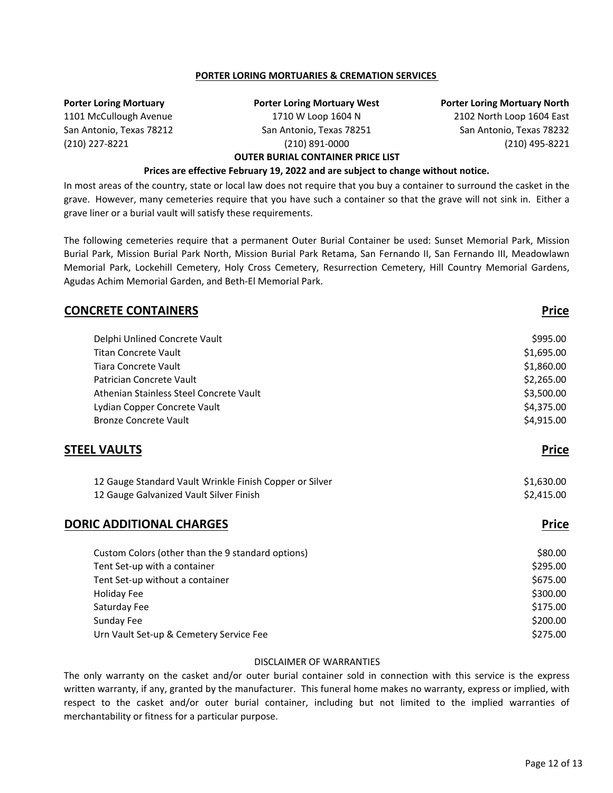# **PORTER LORING MORTUARIES & CREMATION SERVICES**

Porter Loring Mortuary **Porter Loring Mortuary West** Porter Loring Mortuary North (210) 227‐8221 (210) 891‐0000 (210) 495‐8221 **OUTER BURIAL CONTAINER PRICE LIST**

# 1101 McCullough Avenue 1710 W Loop 1604 N 2102 North Loop 1604 East San Antonio, Texas 78212 San Antonio, Texas 78251 San Antonio, Texas 78232

# **Prices are effective February 19, 2022 and are subject to change without notice.**

In most areas of the country, state or local law does not require that you buy a container to surround the casket in the grave. However, many cemeteries require that you have such a container so that the grave will not sink in. Either a grave liner or a burial vault will satisfy these requirements.

The following cemeteries require that a permanent Outer Burial Container be used: Sunset Memorial Park, Mission Burial Park, Mission Burial Park North, Mission Burial Park Retama, San Fernando II, San Fernando III, Meadowlawn Memorial Park, Lockehill Cemetery, Holy Cross Cemetery, Resurrection Cemetery, Hill Country Memorial Gardens, Agudas Achim Memorial Garden, and Beth‐El Memorial Park.

| <b>CONCRETE CONTAINERS</b>                              | <b>Price</b> |
|---------------------------------------------------------|--------------|
| Delphi Unlined Concrete Vault                           | \$995.00     |
| <b>Titan Concrete Vault</b>                             | \$1,695.00   |
| <b>Tiara Concrete Vault</b>                             | \$1,860.00   |
| Patrician Concrete Vault                                | \$2,265.00   |
| Athenian Stainless Steel Concrete Vault                 | \$3,500.00   |
| Lydian Copper Concrete Vault                            | \$4,375.00   |
| <b>Bronze Concrete Vault</b>                            | \$4,915.00   |
| <b>STEEL VAULTS</b>                                     | <u>Price</u> |
| 12 Gauge Standard Vault Wrinkle Finish Copper or Silver | \$1,630.00   |
| 12 Gauge Galvanized Vault Silver Finish                 | \$2,415.00   |
| <b>DORIC ADDITIONAL CHARGES</b>                         | <b>Price</b> |
| Custom Colors (other than the 9 standard options)       | \$80.00      |
| Tent Set-up with a container                            | \$295.00     |
| Tent Set-up without a container                         | \$675.00     |
| Holiday Fee                                             | \$300.00     |
| Saturday Fee                                            | \$175.00     |
| Sunday Fee                                              | \$200.00     |
| Urn Vault Set-up & Cemetery Service Fee                 | \$275.00     |

# DISCLAIMER OF WARRANTIES

The only warranty on the casket and/or outer burial container sold in connection with this service is the express written warranty, if any, granted by the manufacturer. This funeral home makes no warranty, express or implied, with respect to the casket and/or outer burial container, including but not limited to the implied warranties of merchantability or fitness for a particular purpose.